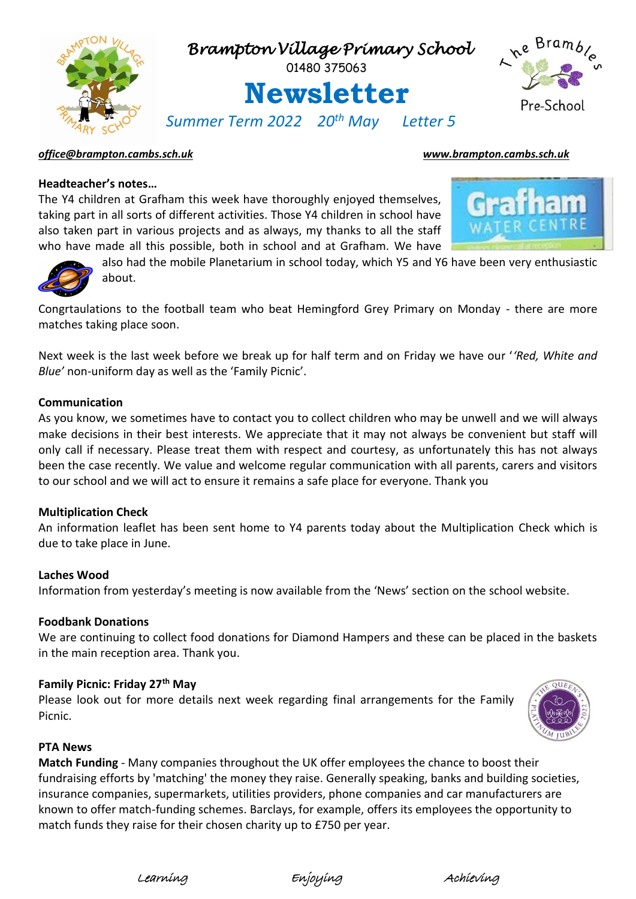

# *[office@brampton.cambs.sch.uk](mailto:office@brampton.cambs.sch.uk) [www.brampton.cambs.sch.uk](http://www.brampton.cambs.sch.uk/)*

# **Headteacher's notes…**

The Y4 children at Grafham this week have thoroughly enjoyed themselves, taking part in all sorts of different activities. Those Y4 children in school have also taken part in various projects and as always, my thanks to all the staff who have made all this possible, both in school and at Grafham. We have





also had the mobile Planetarium in school today, which Y5 and Y6 have been very enthusiastic about.

Congrtaulations to the football team who beat Hemingford Grey Primary on Monday - there are more matches taking place soon.

Next week is the last week before we break up for half term and on Friday we have our '*'Red, White and Blue'* non-uniform day as well as the 'Family Picnic'.

# **Communication**

As you know, we sometimes have to contact you to collect children who may be unwell and we will always make decisions in their best interests. We appreciate that it may not always be convenient but staff will only call if necessary. Please treat them with respect and courtesy, as unfortunately this has not always been the case recently. We value and welcome regular communication with all parents, carers and visitors to our school and we will act to ensure it remains a safe place for everyone. Thank you

# **Multiplication Check**

An information leaflet has been sent home to Y4 parents today about the Multiplication Check which is due to take place in June.

### **Laches Wood**

Information from yesterday's meeting is now available from the 'News' section on the school website.

### **Foodbank Donations**

We are continuing to collect food donations for Diamond Hampers and these can be placed in the baskets in the main reception area. Thank you.

# **Family Picnic: Friday 27th May**

Please look out for more details next week regarding final arrangements for the Family Picnic.



### **PTA News**

**Match Funding** - Many companies throughout the UK offer employees the chance to boost their fundraising efforts by 'matching' the money they raise. Generally speaking, banks and building societies, insurance companies, supermarkets, utilities providers, phone companies and car manufacturers are known to offer match-funding schemes. Barclays, for example, offers its employees the opportunity to match funds they raise for their chosen charity up to £750 per year.